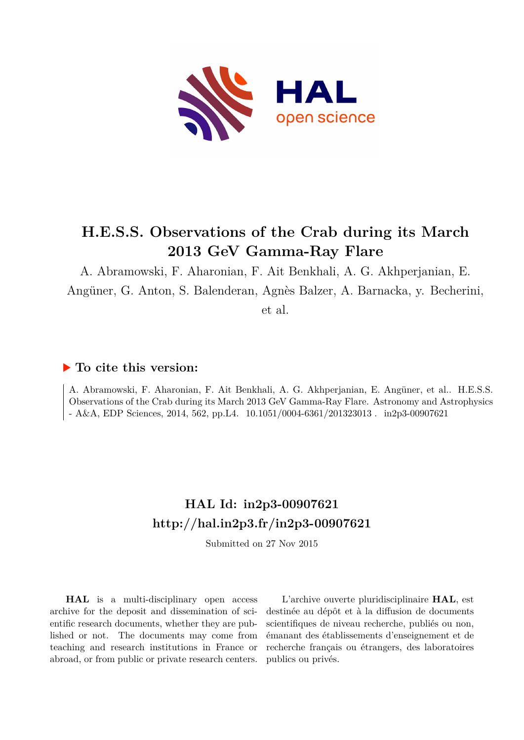

# **H.E.S.S. Observations of the Crab during its March 2013 GeV Gamma-Ray Flare**

A. Abramowski, F. Aharonian, F. Ait Benkhali, A. G. Akhperjanian, E.

Angüner, G. Anton, S. Balenderan, Agnès Balzer, A. Barnacka, y. Becherini,

et al.

### **To cite this version:**

A. Abramowski, F. Aharonian, F. Ait Benkhali, A. G. Akhperjanian, E. Angüner, et al.. H.E.S.S. Observations of the Crab during its March 2013 GeV Gamma-Ray Flare. Astronomy and Astrophysics - A&A, EDP Sciences, 2014, 562, pp. L4.  $10.1051/0004-6361/201323013$ . in2p3-00907621

## **HAL Id: in2p3-00907621 <http://hal.in2p3.fr/in2p3-00907621>**

Submitted on 27 Nov 2015

**HAL** is a multi-disciplinary open access archive for the deposit and dissemination of scientific research documents, whether they are published or not. The documents may come from teaching and research institutions in France or abroad, or from public or private research centers.

L'archive ouverte pluridisciplinaire **HAL**, est destinée au dépôt et à la diffusion de documents scientifiques de niveau recherche, publiés ou non, émanant des établissements d'enseignement et de recherche français ou étrangers, des laboratoires publics ou privés.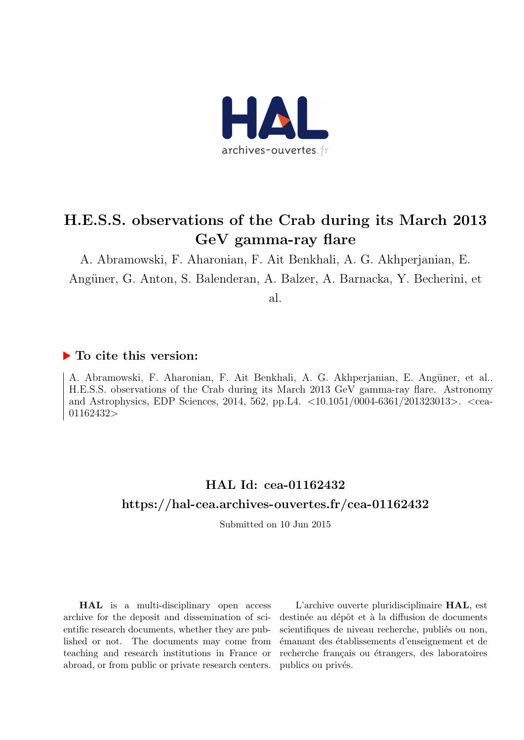

## H.E.S.S. observations of the Crab during its March 2013 GeV gamma-ray flare

A. Abramowski, F. Aharonian, F. Ait Benkhali, A. G. Akhperjanian, E.

Angüner, G. Anton, S. Balenderan, A. Balzer, A. Barnacka, Y. Becherini, et

al.

### ▶ To cite this version:

A. Abramowski, F. Aharonian, F. Ait Benkhali, A. G. Akhperjanian, E. Angüner, et al.. H.E.S.S. observations of the Crab during its March 2013 GeV gamma-ray flare. Astronomy and Astrophysics, EDP Sciences, 2014, 562, pp. L4.  $\langle 10.1051/0004-6361/201323013 \rangle$ .  $\langle$ cea-01162432>

# HAL Id: cea-01162432 <https://hal-cea.archives-ouvertes.fr/cea-01162432>

Submitted on 10 Jun 2015

HAL is a multi-disciplinary open access archive for the deposit and dissemination of scientific research documents, whether they are published or not. The documents may come from teaching and research institutions in France or abroad, or from public or private research centers.

L'archive ouverte pluridisciplinaire HAL, est destinée au dépôt et à la diffusion de documents scientifiques de niveau recherche, publiés ou non, ´emanant des ´etablissements d'enseignement et de recherche français ou étrangers, des laboratoires publics ou privés.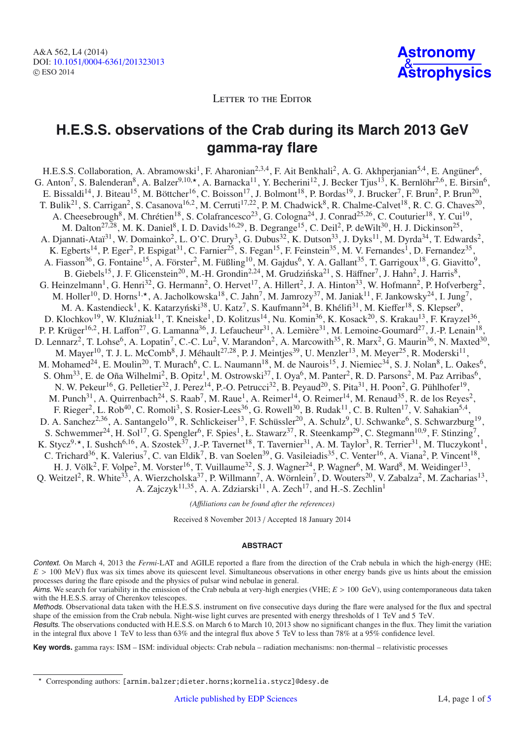LETTER TO THE EDITOR

## **H.E.S.S. observations of the Crab during its March 2013 GeV gamma-ray flare**

H.E.S.S. Collaboration, A. Abramowski<sup>1</sup>, F. Aharonian<sup>2,3,4</sup>, F. Ait Benkhali<sup>2</sup>, A. G. Akhperjanian<sup>5,4</sup>, E. Angüner<sup>6</sup>, G. Anton<sup>7</sup>, S. Balenderan<sup>8</sup>, A. Balzer<sup>9,10,\*</sup>, A. Barnacka<sup>11</sup>, Y. Becherini<sup>12</sup>, J. Becker Tjus<sup>13</sup>, K. Bernlöhr<sup>2,6</sup>, E. Birsin<sup>6</sup>, E. Bissaldi<sup>14</sup>, J. Biteau<sup>15</sup>, M. Böttcher<sup>16</sup>, C. Boisson<sup>17</sup>, J. Bolmont<sup>18</sup>, P. Bordas<sup>19</sup>, J. Brucker<sup>7</sup>, F. Brun<sup>2</sup>, P. Brun<sup>20</sup>, T. Bulik<sup>21</sup>, S. Carrigan<sup>2</sup>, S. Casanova<sup>16,2</sup>, M. Cerruti<sup>17,22</sup>, P. M. Chadwick<sup>8</sup>, R. Chalme-Calvet<sup>18</sup>, R. C. G. Chaves<sup>20</sup>, A. Cheesebrough<sup>8</sup>, M. Chrétien<sup>18</sup>, S. Colafrancesco<sup>23</sup>, G. Cologna<sup>24</sup>, J. Conrad<sup>25,26</sup>, C. Couturier<sup>18</sup>, Y. Cui<sup>19</sup>, M. Dalton<sup>27,28</sup>, M. K. Daniel<sup>8</sup>, I. D. Davids<sup>16,29</sup>, B. Degrange<sup>15</sup>, C. Deil<sup>2</sup>, P. deWilt<sup>30</sup>, H. J. Dickinson<sup>25</sup>, A. Djannati-Ataï<sup>31</sup>, W. Domainko<sup>2</sup>, L. O'C. Drury<sup>3</sup>, G. Dubus<sup>32</sup>, K. Dutson<sup>33</sup>, J. Dyks<sup>11</sup>, M. Dyrda<sup>34</sup>, T. Edwards<sup>2</sup>, K. Egberts<sup>14</sup>, P. Eger<sup>2</sup>, P. Espigat<sup>31</sup>, C. Farnier<sup>25</sup>, S. Fegan<sup>15</sup>, F. Feinstein<sup>35</sup>, M. V. Fernandes<sup>1</sup>, D. Fernandez<sup>35</sup>, A. Fiasson<sup>36</sup>, G. Fontaine<sup>15</sup>, A. Förster<sup>2</sup>, M. Füßling<sup>10</sup>, M. Gajdus<sup>6</sup>, Y. A. Gallant<sup>35</sup>, T. Garrigoux<sup>18</sup>, G. Giavitto<sup>9</sup>, B. Giebels<sup>15</sup>, J. F. Glicenstein<sup>20</sup>, M.-H. Grondin<sup>2,24</sup>, M. Grudzińska<sup>21</sup>, S. Häffner<sup>7</sup>, J. Hahn<sup>2</sup>, J. Harris<sup>8</sup>, G. Heinzelmann<sup>1</sup>, G. Henri<sup>32</sup>, G. Hermann<sup>2</sup>, O. Hervet<sup>17</sup>, A. Hillert<sup>2</sup>, J. A. Hinton<sup>33</sup>, W. Hofmann<sup>2</sup>, P. Hofverberg<sup>2</sup>, M. Holler<sup>10</sup>, D. Horns<sup>1,\*</sup>, A. Jacholkowska<sup>18</sup>, C. Jahn<sup>7</sup>, M. Jamrozy<sup>37</sup>, M. Janiak<sup>11</sup>, F. Jankowsky<sup>24</sup>, I. Jung<sup>7</sup>, M. A. Kastendieck<sup>1</sup>, K. Katarzyński $^{38}$ , U. Katz<sup>7</sup>, S. Kaufmann<sup>24</sup>, B. Khélifi<sup>31</sup>, M. Kieffer<sup>18</sup>, S. Klepser<sup>9</sup>, D. Klochkov<sup>19</sup>, W. Kluźniak<sup>11</sup>, T. Kneiske<sup>1</sup>, D. Kolitzus<sup>14</sup>, Nu. Komin<sup>36</sup>, K. Kosack<sup>20</sup>, S. Krakau<sup>13</sup>, F. Krayzel<sup>36</sup>, P. P. Krüger<sup>16,2</sup>, H. Laffon<sup>27</sup>, G. Lamanna<sup>36</sup>, J. Lefaucheur<sup>31</sup>, A. Lemière<sup>31</sup>, M. Lemoine-Goumard<sup>27</sup>, J.-P. Lenain<sup>18</sup>, D. Lennarz<sup>2</sup>, T. Lohse<sup>6</sup>, A. Lopatin<sup>7</sup>, C.-C. Lu<sup>2</sup>, V. Marandon<sup>2</sup>, A. Marcowith<sup>35</sup>, R. Marx<sup>2</sup>, G. Maurin<sup>36</sup>, N. Maxted<sup>30</sup>, M. Mayer<sup>10</sup>, T. J. L. McComb<sup>8</sup>, J. Méhault<sup>27,28</sup>, P. J. Meintjes<sup>39</sup>, U. Menzler<sup>13</sup>, M. Meyer<sup>25</sup>, R. Moderski<sup>11</sup>, M. Mohamed<sup>24</sup>, E. Moulin<sup>20</sup>, T. Murach<sup>6</sup>, C. L. Naumann<sup>18</sup>, M. de Naurois<sup>15</sup>, J. Niemiec<sup>34</sup>, S. J. Nolan<sup>8</sup>, L. Oakes<sup>6</sup>, S. Ohm<sup>33</sup>, E. de Oña Wilhelmi<sup>2</sup>, B. Opitz<sup>1</sup>, M. Ostrowski<sup>37</sup>, I. Oya<sup>6</sup>, M. Panter<sup>2</sup>, R. D. Parsons<sup>2</sup>, M. Paz Arribas<sup>6</sup>, N. W. Pekeur<sup>16</sup>, G. Pelletier<sup>32</sup>, J. Perez<sup>14</sup>, P.-O. Petrucci<sup>32</sup>, B. Peyaud<sup>20</sup>, S. Pita<sup>31</sup>, H. Poon<sup>2</sup>, G. Pühlhofer<sup>19</sup>, M. Punch<sup>31</sup>, A. Quirrenbach<sup>24</sup>, S. Raab<sup>7</sup>, M. Raue<sup>1</sup>, A. Reimer<sup>14</sup>, O. Reimer<sup>14</sup>, M. Renaud<sup>35</sup>, R. de los Reyes<sup>2</sup>, F. Rieger<sup>2</sup>, L. Rob<sup>40</sup>, C. Romoli<sup>3</sup>, S. Rosier-Lees<sup>36</sup>, G. Rowell<sup>30</sup>, B. Rudak<sup>11</sup>, C. B. Rulten<sup>17</sup>, V. Sahakian<sup>5,4</sup>, D. A. Sanchez<sup>2,36</sup>, A. Santangelo<sup>19</sup>, R. Schlickeiser<sup>13</sup>, F. Schüssler<sup>20</sup>, A. Schulz<sup>9</sup>, U. Schwanke<sup>6</sup>, S. Schwarzburg<sup>19</sup>, S. Schwemmer<sup>24</sup>, H. Sol<sup>17</sup>, G. Spengler<sup>6</sup>, F. Spies<sup>1</sup>, Ł. Stawarz<sup>37</sup>, R. Steenkamp<sup>29</sup>, C. Stegmann<sup>10,9</sup>, F. Stinzing<sup>7</sup>, K. Stycz<sup>9,\*</sup>, I. Sushch<sup>6,16</sup>, A. Szostek<sup>37</sup>, J.-P. Tavernet<sup>18</sup>, T. Tavernier<sup>31</sup>, A. M. Taylor<sup>3</sup>, R. Terrier<sup>31</sup>, M. Tluczykont<sup>1</sup>, C. Trichard<sup>36</sup>, K. Valerius<sup>7</sup>, C. van Eldik<sup>7</sup>, B. van Soelen<sup>39</sup>, G. Vasileiadis<sup>35</sup>, C. Venter<sup>16</sup>, A. Viana<sup>2</sup>, P. Vincent<sup>18</sup>, H. J. Völk<sup>2</sup>, F. Volpe<sup>2</sup>, M. Vorster<sup>16</sup>, T. Vuillaume<sup>32</sup>, S. J. Wagner<sup>24</sup>, P. Wagner<sup>6</sup>, M. Ward<sup>8</sup>, M. Weidinger<sup>13</sup>, Q. Weitzel<sup>2</sup>, R. White<sup>33</sup>, A. Wierzcholska<sup>37</sup>, P. Willmann<sup>7</sup>, A. Wörnlein<sup>7</sup>, D. Wouters<sup>20</sup>, V. Zabalza<sup>2</sup>, M. Zacharias<sup>13</sup>, A. Zajczyk<sup>11,35</sup>, A. A. Zdziarski<sup>11</sup>, A. Zech<sup>17</sup>, and H.-S. Zechlin<sup>1</sup>

*(A*ffi*liations can be found after the references)*

Received 8 November 2013 / Accepted 18 January 2014

#### **ABSTRACT**

Context. On March 4, 2013 the *Fermi*-LAT and AGILE reported a flare from the direction of the Crab nebula in which the high-energy (HE;  $E > 100$  MeV) flux was six times above its quiescent level. Simultaneous observations in other energy bands give us hints about the emission processes during the flare episode and the physics of pulsar wind nebulae in general.

Aims. We search for variability in the emission of the Crab nebula at very-high energies (VHE;  $E > 100$  GeV), using contemporaneous data taken with the H.E.S.S. array of Cherenkov telescopes.

Methods. Observational data taken with the H.E.S.S. instrument on five consecutive days during the flare were analysed for the flux and spectral shape of the emission from the Crab nebula. Night-wise light curves are presented with energy thresholds of 1 TeV and 5 TeV.

Results. The observations conducted with H.E.S.S. on March 6 to March 10, 2013 show no significant changes in the flux. They limit the variation in the integral flux above 1 TeV to less than 63% and the integral flux above 5 TeV to less than 78% at a 95% confidence level.

**Key words.** gamma rays: ISM – ISM: individual objects: Crab nebula – radiation mechanisms: non-thermal – relativistic processes

<sup>-</sup> Corresponding authors: [arnim.balzer;dieter.horns;kornelia.stycz]@desy.de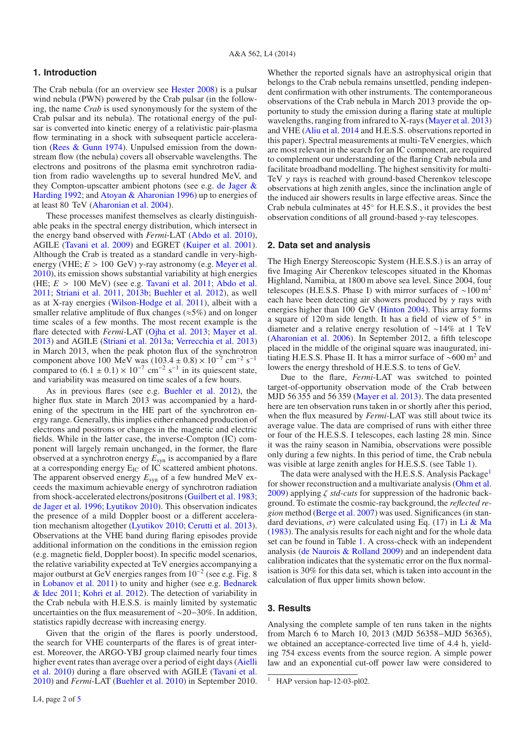#### **1. Introduction**

The Crab nebula (for an overview see Hester 2008) is a pulsar wind nebula (PWN) powered by the Crab pulsar (in the following, the name *Crab* is used synonymously for the system of the Crab pulsar and its nebula). The rotational energy of the pulsar is converted into kinetic energy of a relativistic pair-plasma flow terminating in a shock with subsequent particle acceleration (Rees & Gunn 1974). Unpulsed emission from the downstream flow (the nebula) covers all observable wavelengths. The electrons and positrons of the plasma emit synchrotron radiation from radio wavelengths up to several hundred MeV, and they Compton-upscatter ambient photons (see e.g. de Jager & Harding 1992; and Atoyan & Aharonian 1996) up to energies of at least 80 TeV (Aharonian et al. 2004).

These processes manifest themselves as clearly distinguishable peaks in the spectral energy distribution, which intersect in the energy band observed with *Fermi*-LAT (Abdo et al. 2010), AGILE (Tavani et al. 2009) and EGRET (Kuiper et al. 2001). Although the Crab is treated as a standard candle in very-highenergy (VHE;  $E > 100$  GeV)  $\gamma$ -ray astronomy (e.g. Meyer et al. 2010), its emission shows substantial variability at high energies (HE; *E* > 100 MeV) (see e.g. Tavani et al. 2011; Abdo et al. 2011; Striani et al. 2011, 2013b; Buehler et al. 2012), as well as at X-ray energies (Wilson-Hodge et al. 2011), albeit with a smaller relative amplitude of flux changes ( $\approx$ 5%) and on longer time scales of a few months. The most recent example is the flare detected with *Fermi*-LAT (Ojha et al. 2013; Mayer et al. 2013) and AGILE (Striani et al. 2013a; Verrecchia et al. 2013) in March 2013, when the peak photon flux of the synchrotron component above 100 MeV was  $(103.4 \pm 0.8) \times 10^{-7}$  cm<sup>-2</sup> s<sup>-1</sup> compared to  $(6.1 \pm 0.1) \times 10^{-7}$  cm<sup>-2</sup> s<sup>-1</sup> in its quiescent state, and variability was measured on time scales of a few hours.

As in previous flares (see e.g. Buehler et al. 2012), the higher flux state in March 2013 was accompanied by a hardening of the spectrum in the HE part of the synchrotron energy range. Generally, this implies either enhanced production of electrons and positrons or changes in the magnetic and electric fields. While in the latter case, the inverse-Compton (IC) component will largely remain unchanged, in the former, the flare observed at a synchrotron energy *E*syn is accompanied by a flare at a corresponding energy  $E_{IC}$  of IC scattered ambient photons. The apparent observed energy  $E_{syn}$  of a few hundred MeV exceeds the maximum achievable energy of synchrotron radiation from shock-accelerated electrons/positrons (Guilbert et al. 1983; de Jager et al. 1996; Lyutikov 2010). This observation indicates the presence of a mild Doppler boost or a different acceleration mechanism altogether (Lyutikov 2010; Cerutti et al. 2013). Observations at the VHE band during flaring episodes provide additional information on the conditions in the emission region (e.g. magnetic field, Doppler boost). In specific model scenarios, the relative variability expected at TeV energies accompanying a major outburst at GeV energies ranges from 10−<sup>2</sup> (see e.g. Fig. 8 in Lobanov et al. 2011) to unity and higher (see e.g. Bednarek & Idec 2011; Kohri et al. 2012). The detection of variability in the Crab nebula with H.E.S.S. is mainly limited by systematic uncertainties on the flux measurement of ∼20−30%. In addition, statistics rapidly decrease with increasing energy.

Given that the origin of the flares is poorly understood, the search for VHE counterparts of the flares is of great interest. Moreover, the ARGO-YBJ group claimed nearly four times higher event rates than average over a period of eight days (Aielli et al. 2010) during a flare observed with AGILE (Tavani et al. 2010) and *Fermi*-LAT (Buehler et al. 2010) in September 2010. Whether the reported signals have an astrophysical origin that belongs to the Crab nebula remains unsettled, pending independent confirmation with other instruments. The contemporaneous observations of the Crab nebula in March 2013 provide the opportunity to study the emission during a flaring state at multiple wavelengths, ranging from infrared to X-rays (Mayer et al. 2013) and VHE (Aliu et al. 2014 and H.E.S.S. observations reported in this paper). Spectral measurements at multi-TeV energies, which are most relevant in the search for an IC component, are required to complement our understanding of the flaring Crab nebula and facilitate broadband modelling. The highest sensitivity for multi-TeV  $\gamma$  rays is reached with ground-based Cherenkov telescope observations at high zenith angles, since the inclination angle of the induced air showers results in large effective areas. Since the Crab nebula culminates at 45◦ for H.E.S.S., it provides the best observation conditions of all ground-based γ-ray telescopes.

#### **2. Data set and analysis**

The High Energy Stereoscopic System (H.E.S.S.) is an array of five Imaging Air Cherenkov telescopes situated in the Khomas Highland, Namibia, at 1800 m above sea level. Since 2004, four telescopes (H.E.S.S. Phase I) with mirror surfaces of  $\sim 100 \text{ m}^2$ each have been detecting air showers produced by  $\gamma$  rays with energies higher than 100 GeV (Hinton 2004). This array forms a square of 120 m side length. It has a field of view of  $5^\circ$  in diameter and a relative energy resolution of ∼14% at 1 TeV (Aharonian et al. 2006). In September 2012, a fifth telescope placed in the middle of the original square was inaugurated, initiating H.E.S.S. Phase II. It has a mirror surface of  $~600 \text{ m}^2$  and lowers the energy threshold of H.E.S.S. to tens of GeV.

Due to the flare, *Fermi*-LAT was switched to pointed target-of-opportunity observation mode of the Crab between MJD 56 355 and 56 359 (Mayer et al. 2013). The data presented here are ten observation runs taken in or shortly after this period, when the flux measured by *Fermi*-LAT was still about twice its average value. The data are comprised of runs with either three or four of the H.E.S.S. I telescopes, each lasting 28 min. Since it was the rainy season in Namibia, observations were possible only during a few nights. In this period of time, the Crab nebula was visible at large zenith angles for H.E.S.S. (see Table 1).

The data were analysed with the H.E.S.S. Analysis Package<sup>1</sup> for shower reconstruction and a multivariate analysis (Ohm et al. 2009) applying ζ *std-cuts* for suppression of the hadronic background. To estimate the cosmic-ray background, the *reflected region* method (Berge et al. 2007) was used. Significances (in standard deviations,  $\sigma$ ) were calculated using Eq. (17) in Li & Ma (1983). The analysis results for each night and for the whole data set can be found in Table 1. A cross-check with an independent analysis (de Naurois & Rolland 2009) and an independent data calibration indicates that the systematic error on the flux normalisation is 30% for this data set, which is taken into account in the calculation of flux upper limits shown below.

#### **3. Results**

Analysing the complete sample of ten runs taken in the nights from March 6 to March 10, 2013 (MJD 56358−MJD 56365), we obtained an acceptance-corrected live time of 4.4 h, yielding 754 excess events from the source region. A simple power law and an exponential cut-off power law were considered to

<sup>&</sup>lt;sup>1</sup> HAP version hap-12-03-pl02.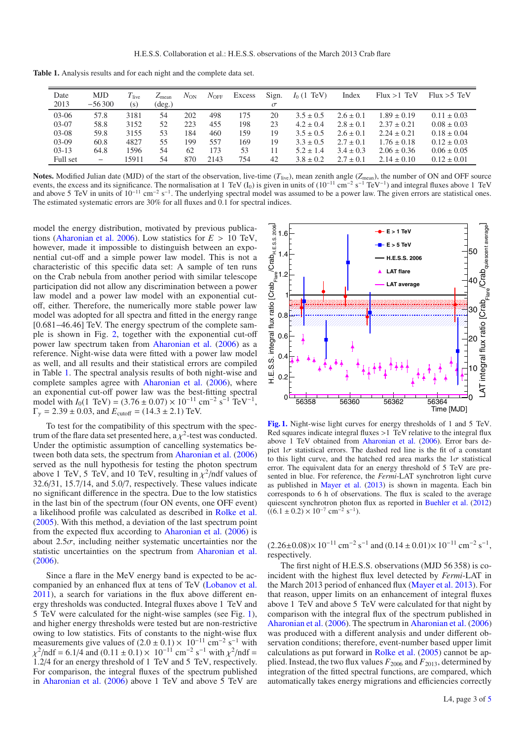| Table 1. Analysis results and for each night and the complete data set. |  |  |
|-------------------------------------------------------------------------|--|--|
|-------------------------------------------------------------------------|--|--|

| Date<br>2013 | MJD<br>$-56300$   | $T_{\rm live}$<br>(s) | $Z_{\text{mean}}$<br>$(\text{deg.})$ | $N_{ON}$ | $N_{\rm OFF}$ | Excess | Sign.<br>$\sigma$ | $I_0$ (1 TeV) | Index         | Flux > 1 TeV    | Flux > 5 TeV    |
|--------------|-------------------|-----------------------|--------------------------------------|----------|---------------|--------|-------------------|---------------|---------------|-----------------|-----------------|
| $03-06$      | 57.8              | 3181                  | 54                                   | 202      | 498           | 175    | 20                | $3.5 \pm 0.5$ | $2.6 \pm 0.1$ | $1.89 \pm 0.19$ | $0.11 \pm 0.03$ |
| $03-07$      | 58.8              | 3152                  | 52                                   | 223      | 455           | 198    | 23                | $4.2 \pm 0.4$ | $2.8 \pm 0.1$ | $2.37 \pm 0.21$ | $0.08 \pm 0.03$ |
| $03-08$      | 59.8              | 3155                  | 53                                   | 184      | 460           | 159    | 19                | $3.5 \pm 0.5$ | $2.6 \pm 0.1$ | $2.24 \pm 0.21$ | $0.18 \pm 0.04$ |
| $03-09$      | 60.8              | 4827                  | 55                                   | 199      | 557           | 169    | 19                | $3.3 \pm 0.5$ | $2.7 \pm 0.1$ | $1.76 \pm 0.18$ | $0.12 \pm 0.03$ |
| $03-13$      | 64.8              | 1596                  | 54                                   | 62       | 173           | 53     |                   | $5.2 \pm 1.4$ | $3.4 \pm 0.3$ | $2.06 \pm 0.36$ | $0.06 \pm 0.05$ |
| Full set     | $\qquad \qquad -$ | 15911                 | 54                                   | 870      | 2143          | 754    | 42                | $3.8 \pm 0.2$ | $2.7 \pm 0.1$ | $2.14 \pm 0.10$ | $0.12 \pm 0.01$ |

**Notes.** Modified Julian date (MJD) of the start of the observation, live-time (*T*live), mean zenith angle (*Z*mean), the number of ON and OFF source events, the excess and its significance. The normalisation at 1 TeV  $(I_0)$  is given in units of  $(10^{-11}$  cm<sup>-2</sup> s<sup>-1</sup> TeV<sup>-1</sup>) and integral fluxes above 1 TeV and above 5 TeV in units of 10<sup>-11</sup> cm<sup>-2</sup> s<sup>-1</sup>. The underlying spectral model was assumed to be a power law. The given errors are statistical ones. The estimated systematic errors are 30% for all fluxes and 0.1 for spectral indices.

model the energy distribution, motivated by previous publications (Aharonian et al. 2006). Low statistics for *E* > 10 TeV, however, made it impossible to distinguish between an exponential cut-off and a simple power law model. This is not a characteristic of this specific data set: A sample of ten runs on the Crab nebula from another period with similar telescope participation did not allow any discrimination between a power law model and a power law model with an exponential cutoff, either. Therefore, the numerically more stable power law model was adopted for all spectra and fitted in the energy range [0.681–46.46] TeV. The energy spectrum of the complete sample is shown in Fig. 2, together with the exponential cut-off power law spectrum taken from Aharonian et al. (2006) as a reference. Night-wise data were fitted with a power law model as well, and all results and their statistical errors are compiled in Table 1. The spectral analysis results of both night-wise and complete samples agree with Aharonian et al. (2006), where an exponential cut-off power law was the best-fitting spectral model with  $I_0(1 \text{ TeV}) = (3.76 \pm 0.07) \times 10^{-11} \text{ cm}^{-2} \text{ s}^{-1} \text{ TeV}^{-1}$ ,  $\Gamma_{\gamma} = 2.39 \pm 0.03$ , and  $E_{\text{cutoff}} = (14.3 \pm 2.1)$  TeV.

To test for the compatibility of this spectrum with the spectrum of the flare data set presented here, a  $\chi^2$ -test was conducted. Under the optimistic assumption of cancelling systematics between both data sets, the spectrum from Aharonian et al. (2006) served as the null hypothesis for testing the photon spectrum above 1 TeV, 5 TeV, and 10 TeV, resulting in  $\chi^2$ /ndf values of 32.6/31, 15.7/14, and 5.0/7, respectively. These values indicate no significant difference in the spectra. Due to the low statistics in the last bin of the spectrum (four ON events, one OFF event) a likelihood profile was calculated as described in Rolke et al. (2005). With this method, a deviation of the last spectrum point from the expected flux according to Aharonian et al. (2006) is about  $2.5\sigma$ , including neither systematic uncertainties nor the statistic uncertainties on the spectrum from Aharonian et al. (2006).

Since a flare in the MeV energy band is expected to be accompanied by an enhanced flux at tens of TeV (Lobanov et al. 2011), a search for variations in the flux above different energy thresholds was conducted. Integral fluxes above 1 TeV and 5 TeV were calculated for the night-wise samples (see Fig. 1), and higher energy thresholds were tested but are non-restrictive owing to low statistics. Fits of constants to the night-wise flux measurements give values of  $(2.0 \pm 0.1) \times 10^{-11}$  cm<sup>-2</sup> s<sup>-1</sup> with  $\chi^2$ /ndf = 6.1/4 and (0.11 ± 0.1) × 10<sup>-11</sup> cm<sup>-2</sup> s<sup>-1</sup> with  $\chi^2$ /ndf = 1.2/4 for an energy threshold of 1 TeV and 5 TeV, respectively. For comparison, the integral fluxes of the spectrum published in Aharonian et al. (2006) above 1 TeV and above 5 TeV are



**[Fig. 1.](http://dexter.edpsciences.org/applet.php?DOI=10.1051/0004-6361/201323013&pdf_id=1)** Night-wise light curves for energy thresholds of 1 and 5 TeV. Red squares indicate integral fluxes >1 TeV relative to the integral flux above 1 TeV obtained from Aharonian et al. (2006). Error bars depict  $1\sigma$  statistical errors. The dashed red line is the fit of a constant to this light curve, and the hatched red area marks the  $1\sigma$  statistical error. The equivalent data for an energy threshold of 5 TeV are presented in blue. For reference, the *Fermi*-LAT synchrotron light curve as published in Mayer et al. (2013) is shown in magenta. Each bin corresponds to 6 h of observations. The flux is scaled to the average quiescent synchrotron photon flux as reported in Buehler et al. (2012)  $((6.1 \pm 0.2) \times 10^{-7} \text{ cm}^{-2} \text{ s}^{-1}).$ 

 $(2.26\pm0.08)\times10^{-11}$  cm<sup>-2</sup> s<sup>-1</sup> and  $(0.14\pm0.01)\times10^{-11}$  cm<sup>-2</sup> s<sup>-1</sup>, respectively.

The first night of H.E.S.S. observations (MJD 56 358) is coincident with the highest flux level detected by *Fermi*-LAT in the March 2013 period of enhanced flux (Mayer et al. 2013). For that reason, upper limits on an enhancement of integral fluxes above 1 TeV and above 5 TeV were calculated for that night by comparison with the integral flux of the spectrum published in Aharonian et al. (2006). The spectrum in Aharonian et al. (2006) was produced with a different analysis and under different observation conditions; therefore, event-number based upper limit calculations as put forward in Rolke et al. (2005) cannot be applied. Instead, the two flux values  $F_{2006}$  and  $F_{2013}$ , determined by integration of the fitted spectral functions, are compared, which automatically takes energy migrations and efficiencies correctly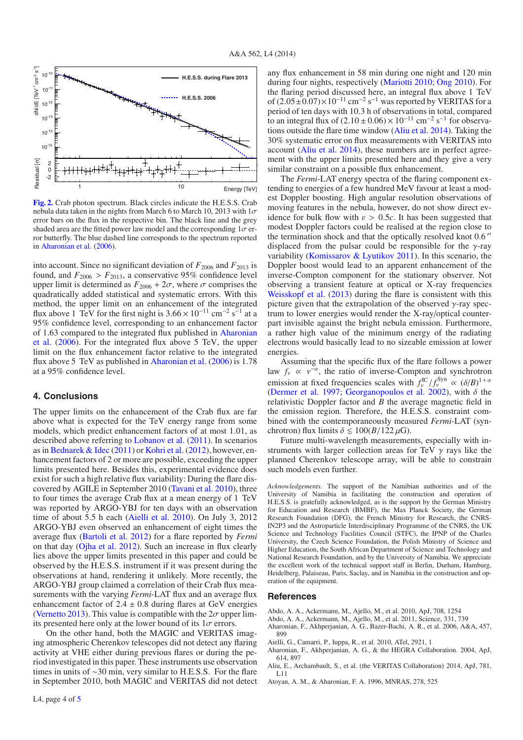

**[Fig. 2.](http://dexter.edpsciences.org/applet.php?DOI=10.1051/0004-6361/201323013&pdf_id=2)** Crab photon spectrum. Black circles indicate the H.E.S.S. Crab nebula data taken in the nights from March 6 to March 10, 2013 with  $1\sigma$ error bars on the flux in the respective bin. The black line and the grey shaded area are the fitted power law model and the corresponding  $1\sigma$  error butterfly. The blue dashed line corresponds to the spectrum reported in Aharonian et al. (2006).

into account. Since no significant deviation of  $F_{2006}$  and  $F_{2013}$  is found, and  $F_{2006} > F_{2013}$ , a conservative 95% confidence level upper limit is determined as  $F_{2006} + 2\sigma$ , where  $\sigma$  comprises the quadratically added statistical and systematic errors. With this method, the upper limit on an enhancement of the integrated flux above 1 TeV for the first night is  $3.66 \times 10^{-11}$  cm<sup>-2</sup> s<sup>-1</sup> at a 95% confidence level, corresponding to an enhancement factor of 1.63 compared to the integrated flux published in Aharonian et al. (2006). For the integrated flux above 5 TeV, the upper limit on the flux enhancement factor relative to the integrated flux above 5 TeV as published in Aharonian et al. (2006) is 1.78 at a 95% confidence level.

#### **4. Conclusions**

The upper limits on the enhancement of the Crab flux are far above what is expected for the TeV energy range from some models, which predict enhancement factors of at most 1.01, as described above referring to Lobanov et al. (2011). In scenarios as in Bednarek & Idec (2011) or Kohri et al. (2012), however, enhancement factors of 2 or more are possible, exceeding the upper limits presented here. Besides this, experimental evidence does exist for such a high relative flux variability: During the flare discovered by AGILE in September 2010 (Tavani et al. 2010), three to four times the average Crab flux at a mean energy of 1 TeV was reported by ARGO-YBJ for ten days with an observation time of about 5.5 h each (Aielli et al. 2010). On July 3, 2012 ARGO-YBJ even observed an enhancement of eight times the average flux (Bartoli et al. 2012) for a flare reported by *Fermi* on that day (Ojha et al. 2012). Such an increase in flux clearly lies above the upper limits presented in this paper and could be observed by the H.E.S.S. instrument if it was present during the observations at hand, rendering it unlikely. More recently, the ARGO-YBJ group claimed a correlation of their Crab flux measurements with the varying *Fermi*-LAT flux and an average flux enhancement factor of  $2.4 \pm 0.8$  during flares at GeV energies (Vernetto 2013). This value is compatible with the  $2\sigma$  upper limits presented here only at the lower bound of its  $1\sigma$  errors.

On the other hand, both the MAGIC and VERITAS imaging atmospheric Cherenkov telescopes did not detect any flaring activity at VHE either during previous flares or during the period investigated in this paper. These instruments use observation times in units of ∼30 min, very similar to H.E.S.S. For the flare in September 2010, both MAGIC and VERITAS did not detect any flux enhancement in 58 min during one night and 120 min during four nights, respectively (Mariotti 2010; Ong 2010). For the flaring period discussed here, an integral flux above 1 TeV of  $(2.05\pm0.07)\times10^{-11}$  cm<sup>-2</sup> s<sup>-1</sup> was reported by VERITAS for a period of ten days with 10.3 h of observations in total, compared to an integral flux of  $(2.10 \pm 0.06) \times 10^{-11}$  cm<sup>-2</sup> s<sup>-1</sup> for observations outside the flare time window (Aliu et al. 2014). Taking the 30% systematic error on flux measurements with VERITAS into account (Aliu et al. 2014), these numbers are in perfect agreement with the upper limits presented here and they give a very similar constraint on a possible flux enhancement.

The *Fermi*-LAT energy spectra of the flaring component extending to energies of a few hundred MeV favour at least a modest Doppler boosting. High angular resolution observations of moving features in the nebula, however, do not show direct evidence for bulk flow with  $v > 0.5c$ . It has been suggested that modest Doppler factors could be realised at the region close to the termination shock and that the optically resolved knot 0.6" displaced from the pulsar could be responsible for the  $\gamma$ -ray variability (Komissarov & Lyutikov 2011). In this scenario, the Doppler boost would lead to an apparent enhancement of the inverse-Compton component for the stationary observer. Not observing a transient feature at optical or X-ray frequencies Weisskopf et al. (2013) during the flare is consistent with this picture given that the extrapolation of the observed  $\gamma$ -ray spectrum to lower energies would render the X-ray/optical counterpart invisible against the bright nebula emission. Furthermore, a rather high value of the minimum energy of the radiating electrons would basically lead to no sizeable emission at lower energies.

Assuming that the specific flux of the flare follows a power law  $f_v \propto v^{-\alpha}$ , the ratio of inverse-Compton and synchrotron emission at fixed frequencies scales with  $f_y^{\text{IC}}/f_y^{\text{Syn}} \propto (\delta/B)^{1+\alpha}$ (Dermer et al. 1997; Georganopoulos et al. 2002), with  $\delta$  the relativistic Doppler factor and *B* the average magnetic field in the emission region. Therefore, the H.E.S.S. constraint combined with the contemporaneously measured *Fermi*-LAT (synchrotron) flux limits  $\delta \lesssim 100(B/122 \,\mu\text{G})$ .

Future multi-wavelength measurements, especially with instruments with larger collection areas for TeV  $\gamma$  rays like the planned Cherenkov telescope array, will be able to constrain such models even further.

*Acknowledgements.* The support of the Namibian authorities and of the University of Namibia in facilitating the construction and operation of H.E.S.S. is gratefully acknowledged, as is the support by the German Ministry for Education and Research (BMBF), the Max Planck Society, the German Research Foundation (DFG), the French Ministry for Research, the CNRS-IN2P3 and the Astroparticle Interdisciplinary Programme of the CNRS, the UK Science and Technology Facilities Council (STFC), the IPNP of the Charles University, the Czech Science Foundation, the Polish Ministry of Science and Higher Education, the South African Department of Science and Technology and National Research Foundation, and by the University of Namibia. We appreciate the excellent work of the technical support staff in Berlin, Durham, Hamburg, Heidelberg, Palaiseau, Paris, Saclay, and in Namibia in the construction and operation of the equipment.

#### **References**

- Abdo, A. A., Ackermann, M., Ajello, M., et al. 2010, ApJ, 708, 1254
- Abdo, A. A., Ackermann, M., Ajello, M., et al. 2011, Science, 331, 739
- Aharonian, F., Akhperjanian, A. G., Bazer-Bachi, A. R., et al. 2006, A&A, 457, 899
- Aielli, G., Camarri, P., Iuppa, R., et al. 2010, ATel, 2921, 1
- Aharonian, F., Akhperjanian, A. G., & the HEGRA Collaboration. 2004, ApJ, 614, 897
- Aliu, E., Archambault, S., et al. (the VERITAS Collaboration) 2014, ApJ, 781, L11
- Atoyan, A. M., & Aharonian, F. A. 1996, MNRAS, 278, 525